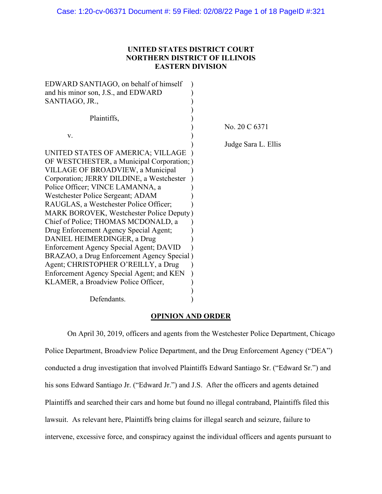# **UNITED STATES DISTRICT COURT NORTHERN DISTRICT OF ILLINOIS EASTERN DIVISION**

| EDWARD SANTIAGO, on behalf of himself           |                     |
|-------------------------------------------------|---------------------|
| and his minor son, J.S., and EDWARD             |                     |
| SANTIAGO, JR.,                                  |                     |
|                                                 |                     |
| Plaintiffs,                                     |                     |
|                                                 | No. 20 C 6371       |
| V.                                              |                     |
|                                                 | Judge Sara L. Ellis |
| UNITED STATES OF AMERICA; VILLAGE               |                     |
| OF WESTCHESTER, a Municipal Corporation; )      |                     |
| VILLAGE OF BROADVIEW, a Municipal               |                     |
| Corporation; JERRY DILDINE, a Westchester       |                     |
| Police Officer; VINCE LAMANNA, a                |                     |
| Westchester Police Sergeant; ADAM               |                     |
| RAUGLAS, a Westchester Police Officer;          |                     |
| <b>MARK BOROVEK, Westchester Police Deputy)</b> |                     |
| Chief of Police; THOMAS MCDONALD, a             |                     |
| Drug Enforcement Agency Special Agent;          |                     |
| DANIEL HEIMERDINGER, a Drug                     |                     |
| Enforcement Agency Special Agent; DAVID         |                     |
| BRAZAO, a Drug Enforcement Agency Special)      |                     |
| Agent; CHRISTOPHER O'REILLY, a Drug             |                     |
| Enforcement Agency Special Agent; and KEN       |                     |
| KLAMER, a Broadview Police Officer,             |                     |
|                                                 |                     |
| Defendants.                                     |                     |

### **OPINION AND ORDER**

On April 30, 2019, officers and agents from the Westchester Police Department, Chicago Police Department, Broadview Police Department, and the Drug Enforcement Agency ("DEA") conducted a drug investigation that involved Plaintiffs Edward Santiago Sr. ("Edward Sr.") and his sons Edward Santiago Jr. ("Edward Jr.") and J.S. After the officers and agents detained Plaintiffs and searched their cars and home but found no illegal contraband, Plaintiffs filed this lawsuit. As relevant here, Plaintiffs bring claims for illegal search and seizure, failure to intervene, excessive force, and conspiracy against the individual officers and agents pursuant to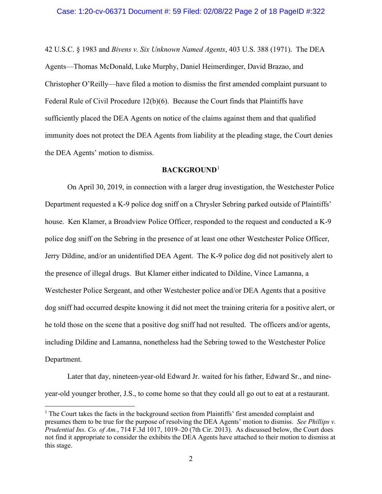42 U.S.C. § 1983 and *Bivens v. Six Unknown Named Agents*, 403 U.S. 388 (1971). The DEA Agents—Thomas McDonald, Luke Murphy, Daniel Heimerdinger, David Brazao, and Christopher O'Reilly—have filed a motion to dismiss the first amended complaint pursuant to Federal Rule of Civil Procedure 12(b)(6). Because the Court finds that Plaintiffs have sufficiently placed the DEA Agents on notice of the claims against them and that qualified immunity does not protect the DEA Agents from liability at the pleading stage, the Court denies the DEA Agents' motion to dismiss.

## **BACKGROUND**[1](#page-1-0)

On April 30, 2019, in connection with a larger drug investigation, the Westchester Police Department requested a K-9 police dog sniff on a Chrysler Sebring parked outside of Plaintiffs' house. Ken Klamer, a Broadview Police Officer, responded to the request and conducted a K-9 police dog sniff on the Sebring in the presence of at least one other Westchester Police Officer, Jerry Dildine, and/or an unidentified DEA Agent. The K-9 police dog did not positively alert to the presence of illegal drugs. But Klamer either indicated to Dildine, Vince Lamanna, a Westchester Police Sergeant, and other Westchester police and/or DEA Agents that a positive dog sniff had occurred despite knowing it did not meet the training criteria for a positive alert, or he told those on the scene that a positive dog sniff had not resulted. The officers and/or agents, including Dildine and Lamanna, nonetheless had the Sebring towed to the Westchester Police Department.

Later that day, nineteen-year-old Edward Jr. waited for his father, Edward Sr., and nineyear-old younger brother, J.S., to come home so that they could all go out to eat at a restaurant.

<span id="page-1-0"></span> $<sup>1</sup>$  The Court takes the facts in the background section from Plaintiffs' first amended complaint and</sup> presumes them to be true for the purpose of resolving the DEA Agents' motion to dismiss. *See Phillips v. Prudential Ins. Co. of Am.*, 714 F.3d 1017, 1019–20 (7th Cir. 2013). As discussed below, the Court does not find it appropriate to consider the exhibits the DEA Agents have attached to their motion to dismiss at this stage.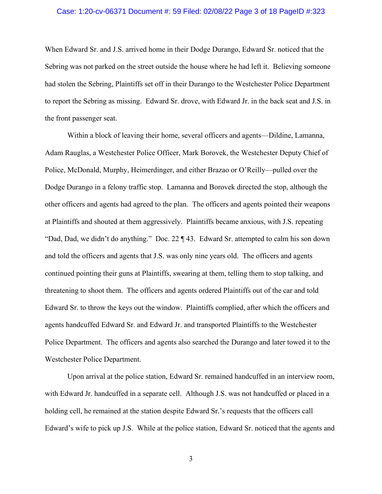### Case: 1:20-cv-06371 Document #: 59 Filed: 02/08/22 Page 3 of 18 PageID #:323

When Edward Sr. and J.S. arrived home in their Dodge Durango, Edward Sr. noticed that the Sebring was not parked on the street outside the house where he had left it. Believing someone had stolen the Sebring, Plaintiffs set off in their Durango to the Westchester Police Department to report the Sebring as missing. Edward Sr. drove, with Edward Jr. in the back seat and J.S. in the front passenger seat.

Within a block of leaving their home, several officers and agents—Dildine, Lamanna, Adam Rauglas, a Westchester Police Officer, Mark Borovek, the Westchester Deputy Chief of Police, McDonald, Murphy, Heimerdinger, and either Brazao or O'Reilly—pulled over the Dodge Durango in a felony traffic stop. Lamanna and Borovek directed the stop, although the other officers and agents had agreed to the plan. The officers and agents pointed their weapons at Plaintiffs and shouted at them aggressively. Plaintiffs became anxious, with J.S. repeating "Dad, Dad, we didn't do anything." Doc. 22 ¶ 43. Edward Sr. attempted to calm his son down and told the officers and agents that J.S. was only nine years old. The officers and agents continued pointing their guns at Plaintiffs, swearing at them, telling them to stop talking, and threatening to shoot them. The officers and agents ordered Plaintiffs out of the car and told Edward Sr. to throw the keys out the window. Plaintiffs complied, after which the officers and agents handcuffed Edward Sr. and Edward Jr. and transported Plaintiffs to the Westchester Police Department. The officers and agents also searched the Durango and later towed it to the Westchester Police Department.

Upon arrival at the police station, Edward Sr. remained handcuffed in an interview room, with Edward Jr. handcuffed in a separate cell. Although J.S. was not handcuffed or placed in a holding cell, he remained at the station despite Edward Sr.'s requests that the officers call Edward's wife to pick up J.S. While at the police station, Edward Sr. noticed that the agents and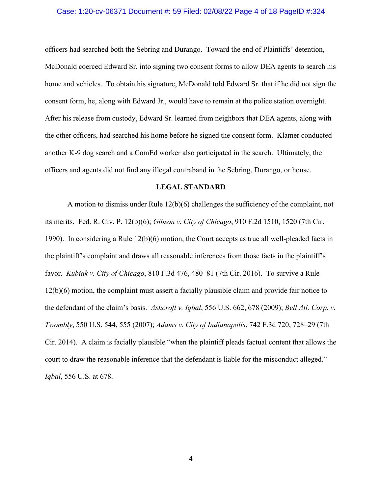### Case: 1:20-cv-06371 Document #: 59 Filed: 02/08/22 Page 4 of 18 PageID #:324

officers had searched both the Sebring and Durango. Toward the end of Plaintiffs' detention, McDonald coerced Edward Sr. into signing two consent forms to allow DEA agents to search his home and vehicles. To obtain his signature, McDonald told Edward Sr. that if he did not sign the consent form, he, along with Edward Jr., would have to remain at the police station overnight. After his release from custody, Edward Sr. learned from neighbors that DEA agents, along with the other officers, had searched his home before he signed the consent form. Klamer conducted another K-9 dog search and a ComEd worker also participated in the search. Ultimately, the officers and agents did not find any illegal contraband in the Sebring, Durango, or house.

### **LEGAL STANDARD**

A motion to dismiss under Rule 12(b)(6) challenges the sufficiency of the complaint, not its merits. Fed. R. Civ. P. 12(b)(6); *Gibson v. City of Chicago*, 910 F.2d 1510, 1520 (7th Cir. 1990). In considering a Rule 12(b)(6) motion, the Court accepts as true all well-pleaded facts in the plaintiff's complaint and draws all reasonable inferences from those facts in the plaintiff's favor. *Kubiak v. City of Chicago*, 810 F.3d 476, 480–81 (7th Cir. 2016). To survive a Rule 12(b)(6) motion, the complaint must assert a facially plausible claim and provide fair notice to the defendant of the claim's basis. *Ashcroft v. Iqbal*, 556 U.S. 662, 678 (2009); *Bell Atl. Corp. v. Twombly*, 550 U.S. 544, 555 (2007); *Adams v. City of Indianapolis*, 742 F.3d 720, 728–29 (7th Cir. 2014). A claim is facially plausible "when the plaintiff pleads factual content that allows the court to draw the reasonable inference that the defendant is liable for the misconduct alleged." *Iqbal*, 556 U.S. at 678.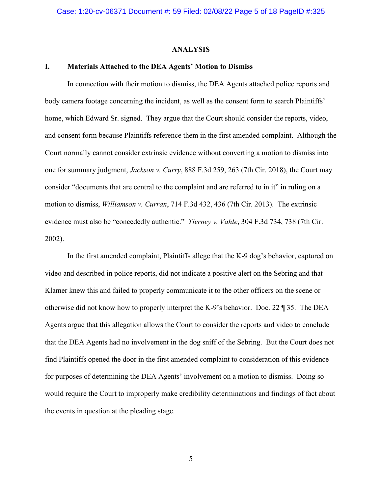#### **ANALYSIS**

#### **I. Materials Attached to the DEA Agents' Motion to Dismiss**

In connection with their motion to dismiss, the DEA Agents attached police reports and body camera footage concerning the incident, as well as the consent form to search Plaintiffs' home, which Edward Sr. signed. They argue that the Court should consider the reports, video, and consent form because Plaintiffs reference them in the first amended complaint. Although the Court normally cannot consider extrinsic evidence without converting a motion to dismiss into one for summary judgment, *Jackson v. Curry*, 888 F.3d 259, 263 (7th Cir. 2018), the Court may consider "documents that are central to the complaint and are referred to in it" in ruling on a motion to dismiss, *Williamson v. Curran*, 714 F.3d 432, 436 (7th Cir. 2013). The extrinsic evidence must also be "concededly authentic." *Tierney v. Vahle*, 304 F.3d 734, 738 (7th Cir. 2002).

In the first amended complaint, Plaintiffs allege that the K-9 dog's behavior, captured on video and described in police reports, did not indicate a positive alert on the Sebring and that Klamer knew this and failed to properly communicate it to the other officers on the scene or otherwise did not know how to properly interpret the K-9's behavior. Doc. 22 ¶ 35. The DEA Agents argue that this allegation allows the Court to consider the reports and video to conclude that the DEA Agents had no involvement in the dog sniff of the Sebring. But the Court does not find Plaintiffs opened the door in the first amended complaint to consideration of this evidence for purposes of determining the DEA Agents' involvement on a motion to dismiss. Doing so would require the Court to improperly make credibility determinations and findings of fact about the events in question at the pleading stage.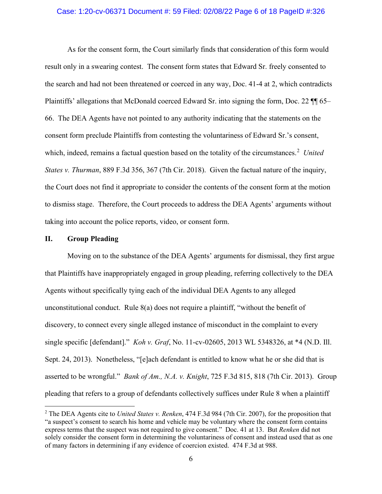#### Case: 1:20-cv-06371 Document #: 59 Filed: 02/08/22 Page 6 of 18 PageID #:326

As for the consent form, the Court similarly finds that consideration of this form would result only in a swearing contest. The consent form states that Edward Sr. freely consented to the search and had not been threatened or coerced in any way, Doc. 41-4 at 2, which contradicts Plaintiffs' allegations that McDonald coerced Edward Sr. into signing the form, Doc. 22  $\P$  65– 66. The DEA Agents have not pointed to any authority indicating that the statements on the consent form preclude Plaintiffs from contesting the voluntariness of Edward Sr.'s consent, which, indeed, remains a factual question based on the totality of the circumstances. [2](#page-5-0) *United States v. Thurman*, 889 F.3d 356, 367 (7th Cir. 2018). Given the factual nature of the inquiry, the Court does not find it appropriate to consider the contents of the consent form at the motion to dismiss stage. Therefore, the Court proceeds to address the DEA Agents' arguments without taking into account the police reports, video, or consent form.

### **II. Group Pleading**

Moving on to the substance of the DEA Agents' arguments for dismissal, they first argue that Plaintiffs have inappropriately engaged in group pleading, referring collectively to the DEA Agents without specifically tying each of the individual DEA Agents to any alleged unconstitutional conduct. Rule 8(a) does not require a plaintiff, "without the benefit of discovery, to connect every single alleged instance of misconduct in the complaint to every single specific [defendant]." *Koh v. Graf*, No. 11-cv-02605, 2013 WL 5348326, at \*4 (N.D. Ill. Sept. 24, 2013). Nonetheless, "[e]ach defendant is entitled to know what he or she did that is asserted to be wrongful." *Bank of Am., N.A. v. Knight*, 725 F.3d 815, 818 (7th Cir. 2013). Group pleading that refers to a group of defendants collectively suffices under Rule 8 when a plaintiff

<span id="page-5-0"></span><sup>2</sup> The DEA Agents cite to *United States v. Renken*, 474 F.3d 984 (7th Cir. 2007), for the proposition that "a suspect's consent to search his home and vehicle may be voluntary where the consent form contains express terms that the suspect was not required to give consent." Doc. 41 at 13. But *Renken* did not solely consider the consent form in determining the voluntariness of consent and instead used that as one of many factors in determining if any evidence of coercion existed. 474 F.3d at 988.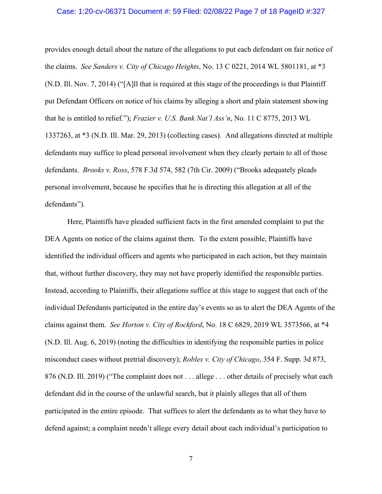#### Case: 1:20-cv-06371 Document #: 59 Filed: 02/08/22 Page 7 of 18 PageID #:327

provides enough detail about the nature of the allegations to put each defendant on fair notice of the claims. *See Sanders v. City of Chicago Heights*, No. 13 C 0221, 2014 WL 5801181, at \*3 (N.D. Ill. Nov. 7, 2014) ("[A]ll that is required at this stage of the proceedings is that Plaintiff put Defendant Officers on notice of his claims by alleging a short and plain statement showing that he is entitled to relief."); *Frazier v. U.S. Bank Nat'l Ass'n*, No. 11 C 8775, 2013 WL 1337263, at \*3 (N.D. Ill. Mar. 29, 2013) (collecting cases). And allegations directed at multiple defendants may suffice to plead personal involvement when they clearly pertain to all of those defendants. *Brooks v. Ross*, 578 F.3d 574, 582 (7th Cir. 2009) ("Brooks adequately pleads personal involvement, because he specifies that he is directing this allegation at all of the defendants").

Here, Plaintiffs have pleaded sufficient facts in the first amended complaint to put the DEA Agents on notice of the claims against them. To the extent possible, Plaintiffs have identified the individual officers and agents who participated in each action, but they maintain that, without further discovery, they may not have properly identified the responsible parties. Instead, according to Plaintiffs, their allegations suffice at this stage to suggest that each of the individual Defendants participated in the entire day's events so as to alert the DEA Agents of the claims against them. *See Horton v. City of Rockford*, No. 18 C 6829, 2019 WL 3573566, at \*4 (N.D. Ill. Aug. 6, 2019) (noting the difficulties in identifying the responsible parties in police misconduct cases without pretrial discovery); *Robles v. City of Chicago*, 354 F. Supp. 3d 873, 876 (N.D. Ill. 2019) ("The complaint does not . . . allege . . . other details of precisely what each defendant did in the course of the unlawful search, but it plainly alleges that all of them participated in the entire episode. That suffices to alert the defendants as to what they have to defend against; a complaint needn't allege every detail about each individual's participation to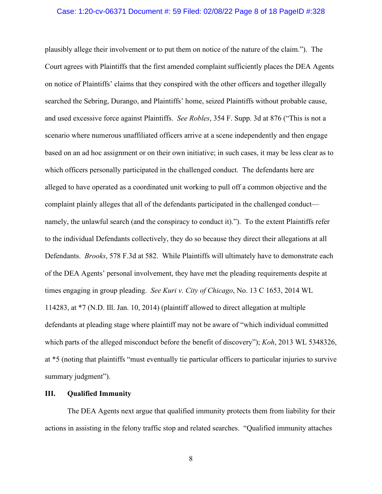#### Case: 1:20-cv-06371 Document #: 59 Filed: 02/08/22 Page 8 of 18 PageID #:328

plausibly allege their involvement or to put them on notice of the nature of the claim."). The Court agrees with Plaintiffs that the first amended complaint sufficiently places the DEA Agents on notice of Plaintiffs' claims that they conspired with the other officers and together illegally searched the Sebring, Durango, and Plaintiffs' home, seized Plaintiffs without probable cause, and used excessive force against Plaintiffs. *See Robles*, 354 F. Supp. 3d at 876 ("This is not a scenario where numerous unaffiliated officers arrive at a scene independently and then engage based on an ad hoc assignment or on their own initiative; in such cases, it may be less clear as to which officers personally participated in the challenged conduct. The defendants here are alleged to have operated as a coordinated unit working to pull off a common objective and the complaint plainly alleges that all of the defendants participated in the challenged conduct namely, the unlawful search (and the conspiracy to conduct it)."). To the extent Plaintiffs refer to the individual Defendants collectively, they do so because they direct their allegations at all Defendants. *Brooks*, 578 F.3d at 582. While Plaintiffs will ultimately have to demonstrate each of the DEA Agents' personal involvement, they have met the pleading requirements despite at times engaging in group pleading. *See Kuri v. City of Chicago*, No. 13 C 1653, 2014 WL 114283, at \*7 (N.D. Ill. Jan. 10, 2014) (plaintiff allowed to direct allegation at multiple defendants at pleading stage where plaintiff may not be aware of "which individual committed which parts of the alleged misconduct before the benefit of discovery"); *Koh*, 2013 WL 5348326, at \*5 (noting that plaintiffs "must eventually tie particular officers to particular injuries to survive summary judgment").

### **III. Qualified Immunity**

The DEA Agents next argue that qualified immunity protects them from liability for their actions in assisting in the felony traffic stop and related searches. "Qualified immunity attaches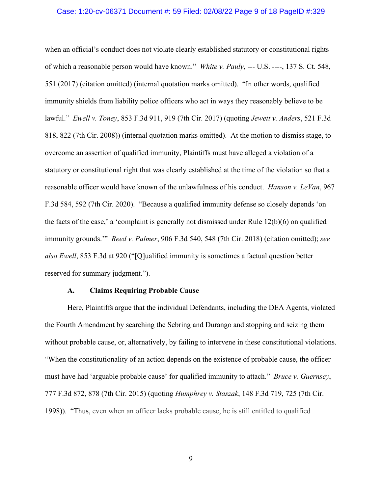#### Case: 1:20-cv-06371 Document #: 59 Filed: 02/08/22 Page 9 of 18 PageID #:329

when an official's conduct does not violate clearly established statutory or constitutional rights of which a reasonable person would have known." *White v. Pauly*, --- U.S. ----, 137 S. Ct. 548, 551 (2017) (citation omitted) (internal quotation marks omitted). "In other words, qualified immunity shields from liability police officers who act in ways they reasonably believe to be lawful." *Ewell v. Toney*, 853 F.3d 911, 919 (7th Cir. 2017) (quoting *Jewett v. Anders*, 521 F.3d 818, 822 (7th Cir. 2008)) (internal quotation marks omitted). At the motion to dismiss stage, to overcome an assertion of qualified immunity, Plaintiffs must have alleged a violation of a statutory or constitutional right that was clearly established at the time of the violation so that a reasonable officer would have known of the unlawfulness of his conduct. *Hanson v. LeVan*, 967 F.3d 584, 592 (7th Cir. 2020). "Because a qualified immunity defense so closely depends 'on the facts of the case,' a 'complaint is generally not dismissed under Rule 12(b)(6) on qualified immunity grounds.'" *Reed v. Palmer*, 906 F.3d 540, 548 (7th Cir. 2018) (citation omitted); *see also Ewell*, 853 F.3d at 920 ("[Q]ualified immunity is sometimes a factual question better reserved for summary judgment.").

#### **A. Claims Requiring Probable Cause**

Here, Plaintiffs argue that the individual Defendants, including the DEA Agents, violated the Fourth Amendment by searching the Sebring and Durango and stopping and seizing them without probable cause, or, alternatively, by failing to intervene in these constitutional violations. "When the constitutionality of an action depends on the existence of probable cause, the officer must have had 'arguable probable cause' for qualified immunity to attach." *Bruce v. Guernsey*, 777 F.3d 872, 878 (7th Cir. 2015) (quoting *Humphrey v. Staszak*, 148 F.3d 719, 725 (7th Cir. 1998)). "Thus, even when an officer lacks probable cause, he is still entitled to qualified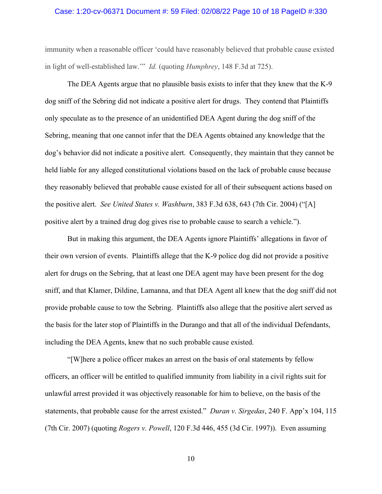#### Case: 1:20-cv-06371 Document #: 59 Filed: 02/08/22 Page 10 of 18 PageID #:330

immunity when a reasonable officer 'could have reasonably believed that probable cause existed in light of well-established law.'" *Id.* (quoting *Humphrey*, 148 F.3d at 725).

The DEA Agents argue that no plausible basis exists to infer that they knew that the K-9 dog sniff of the Sebring did not indicate a positive alert for drugs. They contend that Plaintiffs only speculate as to the presence of an unidentified DEA Agent during the dog sniff of the Sebring, meaning that one cannot infer that the DEA Agents obtained any knowledge that the dog's behavior did not indicate a positive alert. Consequently, they maintain that they cannot be held liable for any alleged constitutional violations based on the lack of probable cause because they reasonably believed that probable cause existed for all of their subsequent actions based on the positive alert. *See United States v. Washburn*, 383 F.3d 638, 643 (7th Cir. 2004) ("[A] positive alert by a trained drug dog gives rise to probable cause to search a vehicle.").

But in making this argument, the DEA Agents ignore Plaintiffs' allegations in favor of their own version of events. Plaintiffs allege that the K-9 police dog did not provide a positive alert for drugs on the Sebring, that at least one DEA agent may have been present for the dog sniff, and that Klamer, Dildine, Lamanna, and that DEA Agent all knew that the dog sniff did not provide probable cause to tow the Sebring. Plaintiffs also allege that the positive alert served as the basis for the later stop of Plaintiffs in the Durango and that all of the individual Defendants, including the DEA Agents, knew that no such probable cause existed.

"[W]here a police officer makes an arrest on the basis of oral statements by fellow officers, an officer will be entitled to qualified immunity from liability in a civil rights suit for unlawful arrest provided it was objectively reasonable for him to believe, on the basis of the statements, that probable cause for the arrest existed." *Duran v. Sirgedas*, 240 F. App'x 104, 115 (7th Cir. 2007) (quoting *Rogers v. Powell*, 120 F.3d 446, 455 (3d Cir. 1997)). Even assuming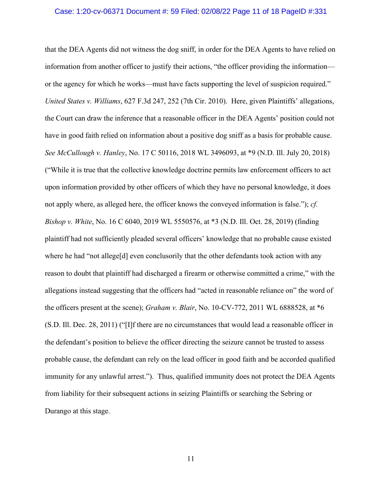#### Case: 1:20-cv-06371 Document #: 59 Filed: 02/08/22 Page 11 of 18 PageID #:331

that the DEA Agents did not witness the dog sniff, in order for the DEA Agents to have relied on information from another officer to justify their actions, "the officer providing the information or the agency for which he works—must have facts supporting the level of suspicion required." *United States v. Williams*, 627 F.3d 247, 252 (7th Cir. 2010). Here, given Plaintiffs' allegations, the Court can draw the inference that a reasonable officer in the DEA Agents' position could not have in good faith relied on information about a positive dog sniff as a basis for probable cause. *See McCullough v. Hanley*, No. 17 C 50116, 2018 WL 3496093, at \*9 (N.D. Ill. July 20, 2018) ("While it is true that the collective knowledge doctrine permits law enforcement officers to act upon information provided by other officers of which they have no personal knowledge, it does not apply where, as alleged here, the officer knows the conveyed information is false."); *cf. Bishop v. White*, No. 16 C 6040, 2019 WL 5550576, at \*3 (N.D. Ill. Oct. 28, 2019) (finding plaintiff had not sufficiently pleaded several officers' knowledge that no probable cause existed where he had "not allege<sup>[d]</sup> even conclusorily that the other defendants took action with any reason to doubt that plaintiff had discharged a firearm or otherwise committed a crime," with the allegations instead suggesting that the officers had "acted in reasonable reliance on" the word of the officers present at the scene); *Graham v. Blair*, No. 10-CV-772, 2011 WL 6888528, at \*6 (S.D. Ill. Dec. 28, 2011) ("[I]f there are no circumstances that would lead a reasonable officer in the defendant's position to believe the officer directing the seizure cannot be trusted to assess probable cause, the defendant can rely on the lead officer in good faith and be accorded qualified immunity for any unlawful arrest."). Thus, qualified immunity does not protect the DEA Agents from liability for their subsequent actions in seizing Plaintiffs or searching the Sebring or Durango at this stage.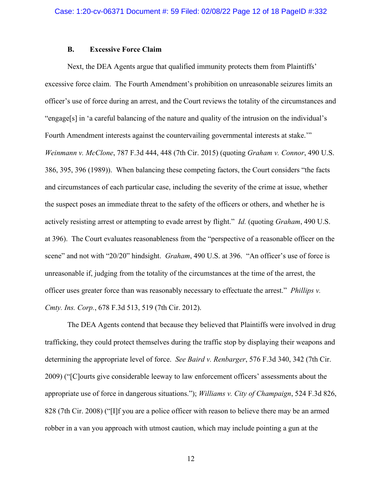#### **B. Excessive Force Claim**

Next, the DEA Agents argue that qualified immunity protects them from Plaintiffs' excessive force claim. The Fourth Amendment's prohibition on unreasonable seizures limits an officer's use of force during an arrest, and the Court reviews the totality of the circumstances and "engage[s] in 'a careful balancing of the nature and quality of the intrusion on the individual's Fourth Amendment interests against the countervailing governmental interests at stake." *Weinmann v. McClone*, 787 F.3d 444, 448 (7th Cir. 2015) (quoting *Graham v. Connor*, 490 U.S. 386, 395, 396 (1989)). When balancing these competing factors, the Court considers "the facts and circumstances of each particular case, including the severity of the crime at issue, whether the suspect poses an immediate threat to the safety of the officers or others, and whether he is actively resisting arrest or attempting to evade arrest by flight." *Id.* (quoting *Graham*, 490 U.S. at 396). The Court evaluates reasonableness from the "perspective of a reasonable officer on the scene" and not with "20/20" hindsight. *Graham*, 490 U.S. at 396. "An officer's use of force is unreasonable if, judging from the totality of the circumstances at the time of the arrest, the officer uses greater force than was reasonably necessary to effectuate the arrest." *Phillips v. Cmty. Ins. Corp.*, 678 F.3d 513, 519 (7th Cir. 2012).

The DEA Agents contend that because they believed that Plaintiffs were involved in drug trafficking, they could protect themselves during the traffic stop by displaying their weapons and determining the appropriate level of force. *See Baird v. Renbarger*, 576 F.3d 340, 342 (7th Cir. 2009) ("[C]ourts give considerable leeway to law enforcement officers' assessments about the appropriate use of force in dangerous situations."); *Williams v. City of Champaign*, 524 F.3d 826, 828 (7th Cir. 2008) ("[I]f you are a police officer with reason to believe there may be an armed robber in a van you approach with utmost caution, which may include pointing a gun at the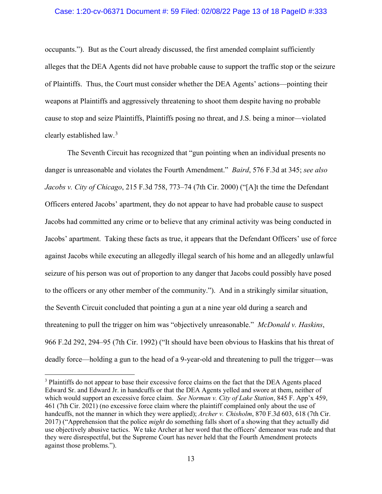### Case: 1:20-cv-06371 Document #: 59 Filed: 02/08/22 Page 13 of 18 PageID #:333

occupants."). But as the Court already discussed, the first amended complaint sufficiently alleges that the DEA Agents did not have probable cause to support the traffic stop or the seizure of Plaintiffs. Thus, the Court must consider whether the DEA Agents' actions—pointing their weapons at Plaintiffs and aggressively threatening to shoot them despite having no probable cause to stop and seize Plaintiffs, Plaintiffs posing no threat, and J.S. being a minor—violated clearly established law. [3](#page-12-0)

The Seventh Circuit has recognized that "gun pointing when an individual presents no danger is unreasonable and violates the Fourth Amendment." *Baird*, 576 F.3d at 345; *see also Jacobs v. City of Chicago*, 215 F.3d 758, 773–74 (7th Cir. 2000) ("[A]t the time the Defendant Officers entered Jacobs' apartment, they do not appear to have had probable cause to suspect Jacobs had committed any crime or to believe that any criminal activity was being conducted in Jacobs' apartment. Taking these facts as true, it appears that the Defendant Officers' use of force against Jacobs while executing an allegedly illegal search of his home and an allegedly unlawful seizure of his person was out of proportion to any danger that Jacobs could possibly have posed to the officers or any other member of the community."). And in a strikingly similar situation, the Seventh Circuit concluded that pointing a gun at a nine year old during a search and threatening to pull the trigger on him was "objectively unreasonable." *McDonald v. Haskins*, 966 F.2d 292, 294–95 (7th Cir. 1992) ("It should have been obvious to Haskins that his threat of deadly force—holding a gun to the head of a 9-year-old and threatening to pull the trigger—was

<span id="page-12-0"></span><sup>3</sup> Plaintiffs do not appear to base their excessive force claims on the fact that the DEA Agents placed Edward Sr. and Edward Jr. in handcuffs or that the DEA Agents yelled and swore at them, neither of which would support an excessive force claim. *See Norman v. City of Lake Station*, 845 F. App'x 459, 461 (7th Cir. 2021) (no excessive force claim where the plaintiff complained only about the use of handcuffs, not the manner in which they were applied); *Archer v. Chisholm*, 870 F.3d 603, 618 (7th Cir. 2017) ("Apprehension that the police *might* do something falls short of a showing that they actually did use objectively abusive tactics. We take Archer at her word that the officers' demeanor was rude and that they were disrespectful, but the Supreme Court has never held that the Fourth Amendment protects against those problems.").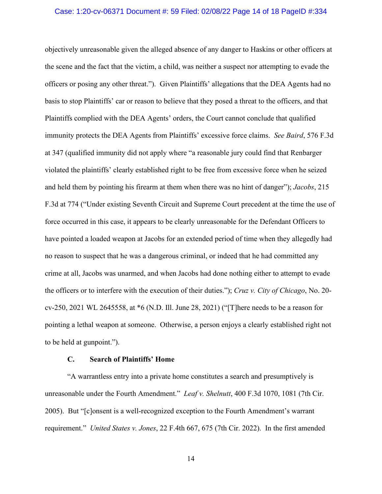#### Case: 1:20-cv-06371 Document #: 59 Filed: 02/08/22 Page 14 of 18 PageID #:334

objectively unreasonable given the alleged absence of any danger to Haskins or other officers at the scene and the fact that the victim, a child, was neither a suspect nor attempting to evade the officers or posing any other threat."). Given Plaintiffs' allegations that the DEA Agents had no basis to stop Plaintiffs' car or reason to believe that they posed a threat to the officers, and that Plaintiffs complied with the DEA Agents' orders, the Court cannot conclude that qualified immunity protects the DEA Agents from Plaintiffs' excessive force claims. *See Baird*, 576 F.3d at 347 (qualified immunity did not apply where "a reasonable jury could find that Renbarger violated the plaintiffs' clearly established right to be free from excessive force when he seized and held them by pointing his firearm at them when there was no hint of danger"); *Jacobs*, 215 F.3d at 774 ("Under existing Seventh Circuit and Supreme Court precedent at the time the use of force occurred in this case, it appears to be clearly unreasonable for the Defendant Officers to have pointed a loaded weapon at Jacobs for an extended period of time when they allegedly had no reason to suspect that he was a dangerous criminal, or indeed that he had committed any crime at all, Jacobs was unarmed, and when Jacobs had done nothing either to attempt to evade the officers or to interfere with the execution of their duties."); *Cruz v. City of Chicago*, No. 20 cv-250, 2021 WL 2645558, at \*6 (N.D. Ill. June 28, 2021) ("[T]here needs to be a reason for pointing a lethal weapon at someone. Otherwise, a person enjoys a clearly established right not to be held at gunpoint.").

#### **C. Search of Plaintiffs' Home**

"A warrantless entry into a private home constitutes a search and presumptively is unreasonable under the Fourth Amendment." *Leaf v. Shelnutt*, 400 F.3d 1070, 1081 (7th Cir. 2005). But "[c]onsent is a well-recognized exception to the Fourth Amendment's warrant requirement." *United States v. Jones*, 22 F.4th 667, 675 (7th Cir. 2022). In the first amended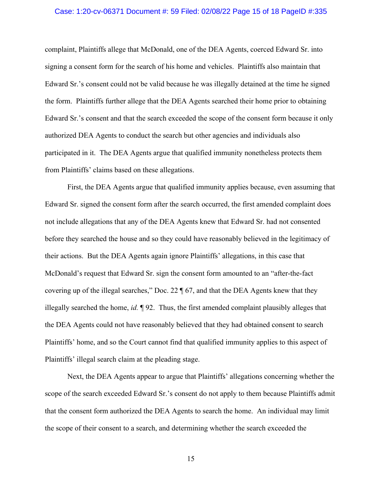#### Case: 1:20-cv-06371 Document #: 59 Filed: 02/08/22 Page 15 of 18 PageID #:335

complaint, Plaintiffs allege that McDonald, one of the DEA Agents, coerced Edward Sr. into signing a consent form for the search of his home and vehicles. Plaintiffs also maintain that Edward Sr.'s consent could not be valid because he was illegally detained at the time he signed the form. Plaintiffs further allege that the DEA Agents searched their home prior to obtaining Edward Sr.'s consent and that the search exceeded the scope of the consent form because it only authorized DEA Agents to conduct the search but other agencies and individuals also participated in it. The DEA Agents argue that qualified immunity nonetheless protects them from Plaintiffs' claims based on these allegations.

First, the DEA Agents argue that qualified immunity applies because, even assuming that Edward Sr. signed the consent form after the search occurred, the first amended complaint does not include allegations that any of the DEA Agents knew that Edward Sr. had not consented before they searched the house and so they could have reasonably believed in the legitimacy of their actions. But the DEA Agents again ignore Plaintiffs' allegations, in this case that McDonald's request that Edward Sr. sign the consent form amounted to an "after-the-fact covering up of the illegal searches," Doc. 22 ¶ 67, and that the DEA Agents knew that they illegally searched the home, *id.* ¶ 92. Thus, the first amended complaint plausibly alleges that the DEA Agents could not have reasonably believed that they had obtained consent to search Plaintiffs' home, and so the Court cannot find that qualified immunity applies to this aspect of Plaintiffs' illegal search claim at the pleading stage.

Next, the DEA Agents appear to argue that Plaintiffs' allegations concerning whether the scope of the search exceeded Edward Sr.'s consent do not apply to them because Plaintiffs admit that the consent form authorized the DEA Agents to search the home. An individual may limit the scope of their consent to a search, and determining whether the search exceeded the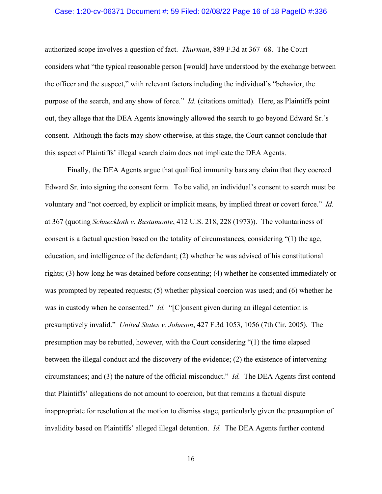#### Case: 1:20-cv-06371 Document #: 59 Filed: 02/08/22 Page 16 of 18 PageID #:336

authorized scope involves a question of fact. *Thurman*, 889 F.3d at 367–68. The Court considers what "the typical reasonable person [would] have understood by the exchange between the officer and the suspect," with relevant factors including the individual's "behavior, the purpose of the search, and any show of force." *Id.* (citations omitted). Here, as Plaintiffs point out, they allege that the DEA Agents knowingly allowed the search to go beyond Edward Sr.'s consent. Although the facts may show otherwise, at this stage, the Court cannot conclude that this aspect of Plaintiffs' illegal search claim does not implicate the DEA Agents.

Finally, the DEA Agents argue that qualified immunity bars any claim that they coerced Edward Sr. into signing the consent form. To be valid, an individual's consent to search must be voluntary and "not coerced, by explicit or implicit means, by implied threat or covert force." *Id.*  at 367 (quoting *Schneckloth v. Bustamonte*, 412 U.S. 218, 228 (1973)). The voluntariness of consent is a factual question based on the totality of circumstances, considering "(1) the age, education, and intelligence of the defendant; (2) whether he was advised of his constitutional rights; (3) how long he was detained before consenting; (4) whether he consented immediately or was prompted by repeated requests; (5) whether physical coercion was used; and (6) whether he was in custody when he consented." *Id.* "[C]onsent given during an illegal detention is presumptively invalid." *United States v. Johnson*, 427 F.3d 1053, 1056 (7th Cir. 2005). The presumption may be rebutted, however, with the Court considering "(1) the time elapsed between the illegal conduct and the discovery of the evidence; (2) the existence of intervening circumstances; and (3) the nature of the official misconduct." *Id.* The DEA Agents first contend that Plaintiffs' allegations do not amount to coercion, but that remains a factual dispute inappropriate for resolution at the motion to dismiss stage, particularly given the presumption of invalidity based on Plaintiffs' alleged illegal detention. *Id.* The DEA Agents further contend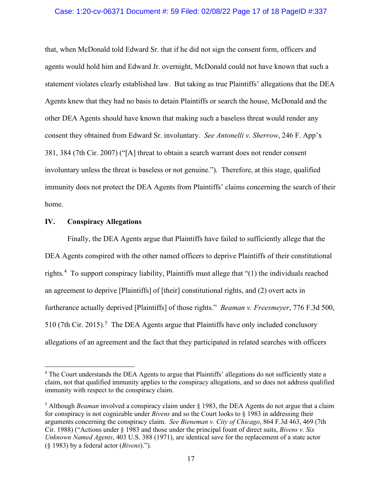#### Case: 1:20-cv-06371 Document #: 59 Filed: 02/08/22 Page 17 of 18 PageID #:337

that, when McDonald told Edward Sr. that if he did not sign the consent form, officers and agents would hold him and Edward Jr. overnight, McDonald could not have known that such a statement violates clearly established law. But taking as true Plaintiffs' allegations that the DEA Agents knew that they had no basis to detain Plaintiffs or search the house, McDonald and the other DEA Agents should have known that making such a baseless threat would render any consent they obtained from Edward Sr. involuntary. *See Antonelli v. Sherrow*, 246 F. App'x 381, 384 (7th Cir. 2007) ("[A] threat to obtain a search warrant does not render consent involuntary unless the threat is baseless or not genuine."). Therefore, at this stage, qualified immunity does not protect the DEA Agents from Plaintiffs' claims concerning the search of their home.

### **IV. Conspiracy Allegations**

Finally, the DEA Agents argue that Plaintiffs have failed to sufficiently allege that the DEA Agents conspired with the other named officers to deprive Plaintiffs of their constitutional rights.<sup>[4](#page-16-0)</sup> To support conspiracy liability, Plaintiffs must allege that "(1) the individuals reached an agreement to deprive [Plaintiffs] of [their] constitutional rights, and (2) overt acts in furtherance actually deprived [Plaintiffs] of those rights." *Beaman v. Freesmeyer*, 776 F.3d 500, [5](#page-16-1)10 (7th Cir. 2015).<sup>5</sup> The DEA Agents argue that Plaintiffs have only included conclusory allegations of an agreement and the fact that they participated in related searches with officers

<span id="page-16-0"></span><sup>&</sup>lt;sup>4</sup> The Court understands the DEA Agents to argue that Plaintiffs' allegations do not sufficiently state a claim, not that qualified immunity applies to the conspiracy allegations, and so does not address qualified immunity with respect to the conspiracy claim.

<span id="page-16-1"></span><sup>5</sup> Although *Beaman* involved a conspiracy claim under § 1983, the DEA Agents do not argue that a claim for conspiracy is not cognizable under *Bivens* and so the Court looks to § 1983 in addressing their arguments concerning the conspiracy claim. *See Bieneman v. City of Chicago*, 864 F.3d 463, 469 (7th Cir. 1988) ("Actions under § 1983 and those under the principal fount of direct suits, *Bivens v. Six Unknown Named Agents*, 403 U.S. 388 (1971), are identical save for the replacement of a state actor (§ 1983) by a federal actor (*Bivens*).").